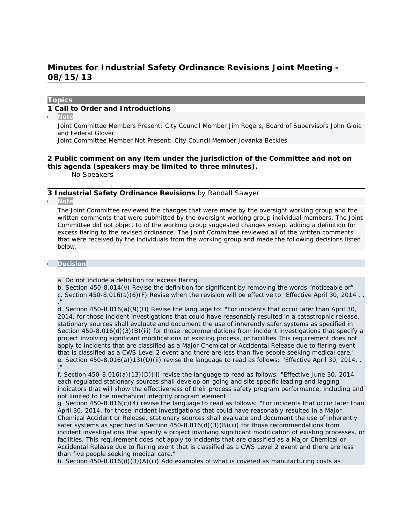# **Minutes for Industrial Safety Ordinance Revisions Joint Meeting - 08/15/13**

#### **Topics**

### **1 Call to Order and Introductions**

**Note**

Joint Committee Members Present: City Council Member Jim Rogers, Board of Supervisors John Gioia and Federal Glover

Joint Committee Member Not Present: City Council Member Jovanka Beckles

## **2 Public comment on any item under the jurisdiction of the Committee and not on this agenda (speakers may be limited to three minutes).**

No Speakers

#### **3 Industrial Safety Ordinance Revisions** *by Randall Sawyer*

**Note**

The Joint Committee reviewed the changes that were made by the oversight working group and the written comments that were submitted by the oversight working group individual members. The Joint Committee did not object to of the working group suggested changes except adding a definition for excess flaring to the revised ordinance. The Joint Committee reviewed all of the written comments that were received by the individuals from the working group and made the following decisions listed below.

#### **Decision**

a. Do not include a definition for excess flaring.

b. Section 450-8.014(v) Revise the definition for significant by removing the words "noticeable or" c. Section  $450-8.016(a)(6)$  (F) Revise when the revision will be effective to "Effective April 30, 2014..

."

d. Section 450-8.016(a)(9)(H) Revise the language to: "For incidents that occur later than April 30, 2014, for those incident investigations that could have reasonably resulted in a catastrophic release, stationary sources shall evaluate and document the use of inherently safer systems as specified in Section 450-8.016(d)(3)(B)(iii) for those recommendations from incident investigations that specify a project involving significant modifications of existing process, or facilities This requirement does not apply to incidents that are classified as a Major Chemical or Accidental Release due to flaring event that is classified as a CWS Level 2 event and there are less than five people seeking medical care." e. Section 450-8.016(a))13)(D)(ii) revise the language to read as follows: "Effective April 30, 2014. . ."

f. Section 450-8.016(a)(13)(D)(ii) revise the language to read as follows: "Effective June 30, 2014 each regulated stationary sources shall develop on-going and site specific leading and lagging indicators that will show the effectiveness of their process safety program performance, including and not limited to the mechanical integrity program element."

g. Section 450-8.016(c)(4) revise the language to read as follows: "For incidents that occur later than April 30, 2014, for those incident investigations that could have reasonably resulted in a Major Chemical Accident or Release, stationary sources shall evaluate and document the use of inherently safer systems as specified in Section 450-8.016(d)(3)(B)(iii) for those recommendations from incident investigations that specify a project involving significant modification of existing processes, or facilities. This requirement does not apply to incidents that are classified as a Major Chemical or Accidental Release due to flaring event that is classified as a CWS Level 2 event and there are less than five people seeking medical care."

h. Section 450-8.016(d)(3)(A)(iii) Add examples of what is covered as manufacturing costs as